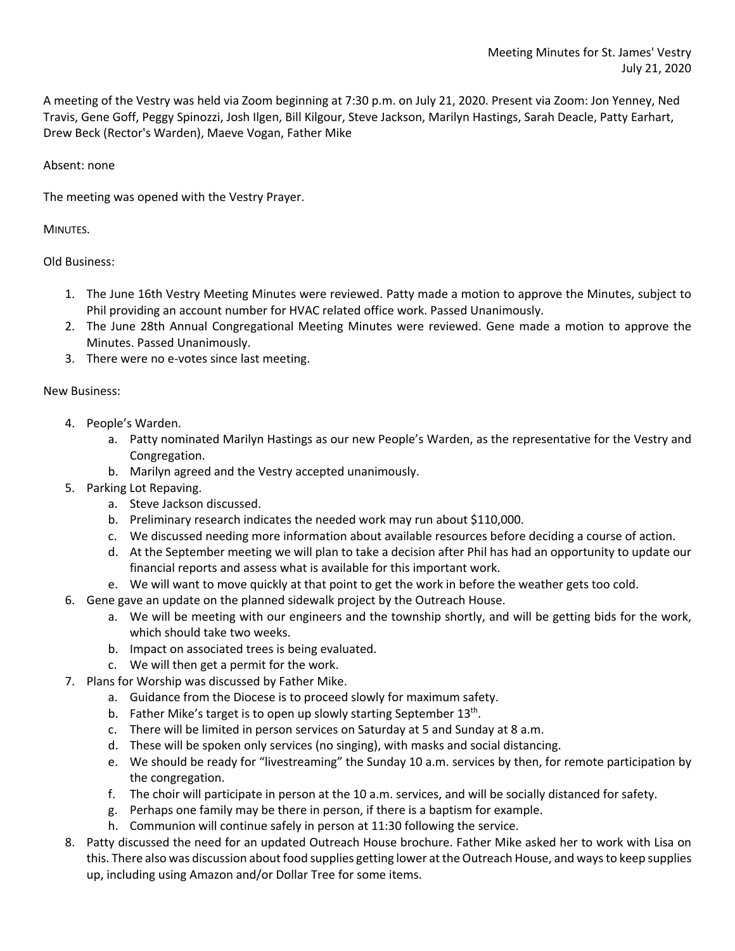A meeting of the Vestry was held via Zoom beginning at 7:30 p.m. on July 21, 2020. Present via Zoom: Jon Yenney, Ned Travis, Gene Goff, Peggy Spinozzi, Josh Ilgen, Bill Kilgour, Steve Jackson, Marilyn Hastings, Sarah Deacle, Patty Earhart, Drew Beck (Rector's Warden), Maeve Vogan, Father Mike

## Absent: none

The meeting was opened with the Vestry Prayer.

MINUTES.

Old Business:

- 1. The June 16th Vestry Meeting Minutes were reviewed. Patty made a motion to approve the Minutes, subject to Phil providing an account number for HVAC related office work. Passed Unanimously.
- 2. The June 28th Annual Congregational Meeting Minutes were reviewed. Gene made a motion to approve the Minutes. Passed Unanimously.
- 3. There were no e-votes since last meeting.

## New Business:

- 4. People's Warden.
	- a. Patty nominated Marilyn Hastings as our new People's Warden, as the representative for the Vestry and Congregation.
	- b. Marilyn agreed and the Vestry accepted unanimously.
- 5. Parking Lot Repaving.
	- a. Steve Jackson discussed.
	- b. Preliminary research indicates the needed work may run about \$110,000.
	- c. We discussed needing more information about available resources before deciding a course of action.
	- d. At the September meeting we will plan to take a decision after Phil has had an opportunity to update our financial reports and assess what is available for this important work.
	- e. We will want to move quickly at that point to get the work in before the weather gets too cold.
- 6. Gene gave an update on the planned sidewalk project by the Outreach House.
	- a. We will be meeting with our engineers and the township shortly, and will be getting bids for the work, which should take two weeks.
	- b. Impact on associated trees is being evaluated.
	- c. We will then get a permit for the work.
- 7. Plans for Worship was discussed by Father Mike.
	- a. Guidance from the Diocese is to proceed slowly for maximum safety.
	- b. Father Mike's target is to open up slowly starting September 13<sup>th</sup>.
	- c. There will be limited in person services on Saturday at 5 and Sunday at 8 a.m.
	- d. These will be spoken only services (no singing), with masks and social distancing.
	- e. We should be ready for "livestreaming" the Sunday 10 a.m. services by then, for remote participation by the congregation.
	- f. The choir will participate in person at the 10 a.m. services, and will be socially distanced for safety.
	- g. Perhaps one family may be there in person, if there is a baptism for example.
	- h. Communion will continue safely in person at 11:30 following the service.
- 8. Patty discussed the need for an updated Outreach House brochure. Father Mike asked her to work with Lisa on this. There also was discussion about food supplies getting lower at the Outreach House, and ways to keep supplies up, including using Amazon and/or Dollar Tree for some items.